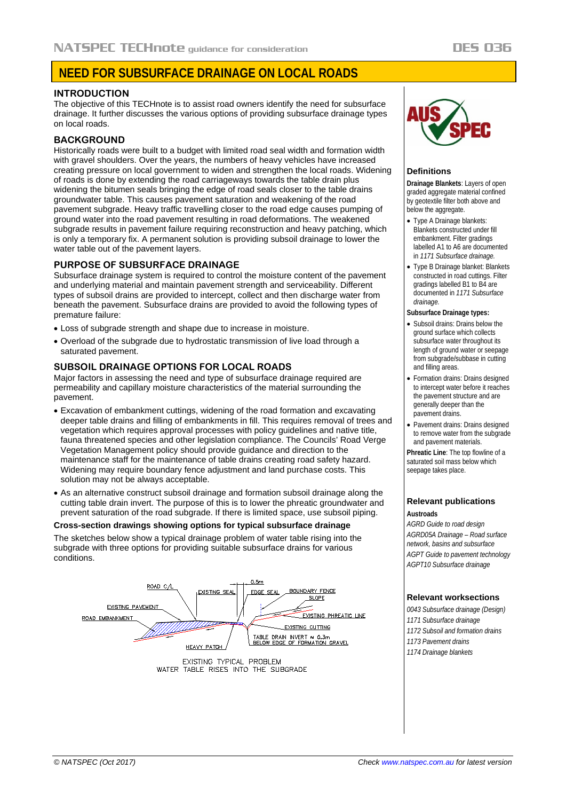# **NEED FOR SUBSURFACE DRAINAGE ON LOCAL ROADS**

## **INTRODUCTION**

The objective of this TECHnote is to assist road owners identify the need for subsurface drainage. It further discusses the various options of providing subsurface drainage types on local roads.

# **BACKGROUND**

Historically roads were built to a budget with limited road seal width and formation width with gravel shoulders. Over the years, the numbers of heavy vehicles have increased creating pressure on local government to widen and strengthen the local roads. Widening of roads is done by extending the road carriageways towards the table drain plus widening the bitumen seals bringing the edge of road seals closer to the table drains groundwater table. This causes pavement saturation and weakening of the road pavement subgrade. Heavy traffic travelling closer to the road edge causes pumping of ground water into the road pavement resulting in road deformations. The weakened subgrade results in pavement failure requiring reconstruction and heavy patching, which is only a temporary fix. A permanent solution is providing subsoil drainage to lower the water table out of the pavement layers.

## **PURPOSE OF SUBSURFACE DRAINAGE**

Subsurface drainage system is required to control the moisture content of the pavement and underlying material and maintain pavement strength and serviceability. Different types of subsoil drains are provided to intercept, collect and then discharge water from beneath the pavement. Subsurface drains are provided to avoid the following types of premature failure:

- Loss of subgrade strength and shape due to increase in moisture.
- Overload of the subgrade due to hydrostatic transmission of live load through a saturated pavement.

# **SUBSOIL DRAINAGE OPTIONS FOR LOCAL ROADS**

Major factors in assessing the need and type of subsurface drainage required are permeability and capillary moisture characteristics of the material surrounding the pavement.

- Excavation of embankment cuttings, widening of the road formation and excavating deeper table drains and filling of embankments in fill. This requires removal of trees and vegetation which requires approval processes with policy guidelines and native title, fauna threatened species and other legislation compliance. The Councils' Road Verge Vegetation Management policy should provide guidance and direction to the maintenance staff for the maintenance of table drains creating road safety hazard. Widening may require boundary fence adjustment and land purchase costs. This solution may not be always acceptable.
- As an alternative construct subsoil drainage and formation subsoil drainage along the cutting table drain invert. The purpose of this is to lower the phreatic groundwater and prevent saturation of the road subgrade. If there is limited space, use subsoil piping.

### **Cross-section drawings showing options for typical subsurface drainage**

The sketches below show a typical drainage problem of water table rising into the subgrade with three options for providing suitable subsurface drains for various conditions.



WATER TABLE RISES INTO THE SUBGRADE



## **Definitions**

**Drainage Blankets**: Layers of open graded aggregate material confined by geotextile filter both above and below the aggregate.

- Type A Drainage blankets: Blankets constructed under fill embankment. Filter gradings labelled A1 to A6 are documented in *1171 Subsurface drainage.*
- Type B Drainage blanket: Blankets constructed in road cuttings. Filter gradings labelled B1 to B4 are documented in *1171 Subsurface drainage.*

#### **Subsurface Drainage types:**

- Subsoil drains: Drains below the ground surface which collects subsurface water throughout its length of ground water or seepage from subgrade/subbase in cutting and filling areas.
- Formation drains: Drains designed to intercept water before it reaches the pavement structure and are generally deeper than the pavement drains.
- Pavement drains: Drains designed to remove water from the subgrade and pavement materials.

**Phreatic Line**: The top flowline of a saturated soil mass below which seepage takes place.

#### **Relevant publications Austroads**

*AGRD Guide to road design AGRD05A Drainage – Road surface network, basins and subsurface AGPT Guide to pavement technology AGPT10 Subsurface drainage*

## **Relevant worksections**

*0043 Subsurface drainage (Design) 1171 Subsurface drainage 1172 Subsoil and formation drains 1173 Pavement drains 1174 Drainage blankets*